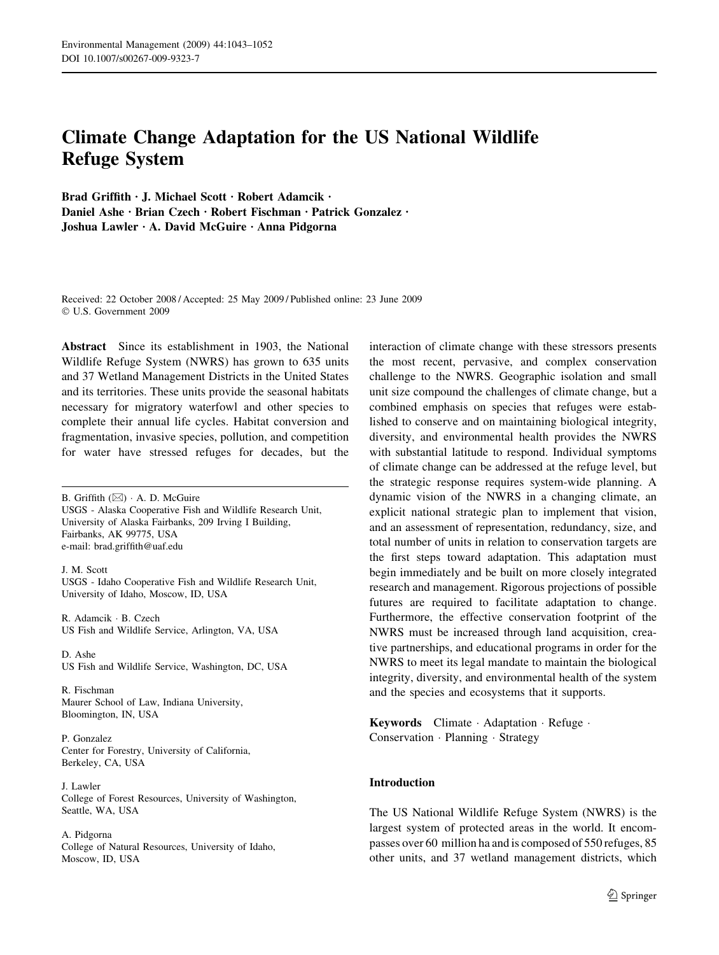# Climate Change Adaptation for the US National Wildlife Refuge System

Brad Griffith · J. Michael Scott · Robert Adamcik · Daniel Ashe · Brian Czech · Robert Fischman · Patrick Gonzalez · Joshua Lawler  $\cdot$  A. David McGuire  $\cdot$  Anna Pidgorna

Received: 22 October 2008 / Accepted: 25 May 2009 / Published online: 23 June 2009 U.S. Government 2009

Abstract Since its establishment in 1903, the National Wildlife Refuge System (NWRS) has grown to 635 units and 37 Wetland Management Districts in the United States and its territories. These units provide the seasonal habitats necessary for migratory waterfowl and other species to complete their annual life cycles. Habitat conversion and fragmentation, invasive species, pollution, and competition for water have stressed refuges for decades, but the

B. Griffith  $(\boxtimes)$   $\cdot$  A. D. McGuire USGS - Alaska Cooperative Fish and Wildlife Research Unit, University of Alaska Fairbanks, 209 Irving I Building, Fairbanks, AK 99775, USA e-mail: brad.griffith@uaf.edu

J. M. Scott USGS - Idaho Cooperative Fish and Wildlife Research Unit, University of Idaho, Moscow, ID, USA

R. Adamcik · B. Czech US Fish and Wildlife Service, Arlington, VA, USA

D. Ashe US Fish and Wildlife Service, Washington, DC, USA

R. Fischman Maurer School of Law, Indiana University, Bloomington, IN, USA

P. Gonzalez Center for Forestry, University of California, Berkeley, CA, USA

J. Lawler College of Forest Resources, University of Washington, Seattle, WA, USA

A. Pidgorna College of Natural Resources, University of Idaho, Moscow, ID, USA

interaction of climate change with these stressors presents the most recent, pervasive, and complex conservation challenge to the NWRS. Geographic isolation and small unit size compound the challenges of climate change, but a combined emphasis on species that refuges were established to conserve and on maintaining biological integrity, diversity, and environmental health provides the NWRS with substantial latitude to respond. Individual symptoms of climate change can be addressed at the refuge level, but the strategic response requires system-wide planning. A dynamic vision of the NWRS in a changing climate, an explicit national strategic plan to implement that vision, and an assessment of representation, redundancy, size, and total number of units in relation to conservation targets are the first steps toward adaptation. This adaptation must begin immediately and be built on more closely integrated research and management. Rigorous projections of possible futures are required to facilitate adaptation to change. Furthermore, the effective conservation footprint of the NWRS must be increased through land acquisition, creative partnerships, and educational programs in order for the NWRS to meet its legal mandate to maintain the biological integrity, diversity, and environmental health of the system and the species and ecosystems that it supports.

Keywords Climate Adaptation Refuge . Conservation · Planning · Strategy

# Introduction

The US National Wildlife Refuge System (NWRS) is the largest system of protected areas in the world. It encompasses over 60 million ha and is composed of 550 refuges, 85 other units, and 37 wetland management districts, which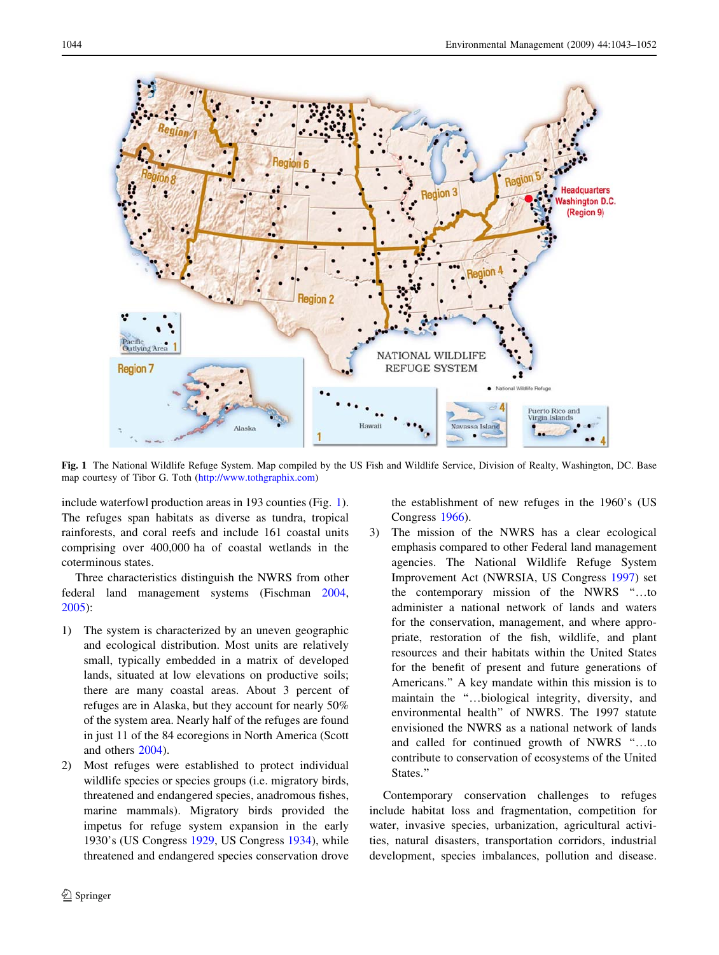

Fig. 1 The National Wildlife Refuge System. Map compiled by the US Fish and Wildlife Service, Division of Realty, Washington, DC. Base map courtesy of Tibor G. Toth [\(http://www.tothgraphix.com](http://www.tothgraphix.com))

include waterfowl production areas in 193 counties (Fig. 1). The refuges span habitats as diverse as tundra, tropical rainforests, and coral reefs and include 161 coastal units comprising over 400,000 ha of coastal wetlands in the coterminous states.

Three characteristics distinguish the NWRS from other federal land management systems (Fischman [2004,](#page-8-0) [2005\)](#page-8-0):

- 1) The system is characterized by an uneven geographic and ecological distribution. Most units are relatively small, typically embedded in a matrix of developed lands, situated at low elevations on productive soils; there are many coastal areas. About 3 percent of refuges are in Alaska, but they account for nearly 50% of the system area. Nearly half of the refuges are found in just 11 of the 84 ecoregions in North America (Scott and others [2004\)](#page-9-0).
- 2) Most refuges were established to protect individual wildlife species or species groups (i.e. migratory birds, threatened and endangered species, anadromous fishes, marine mammals). Migratory birds provided the impetus for refuge system expansion in the early 1930's (US Congress [1929,](#page-9-0) US Congress [1934](#page-9-0)), while threatened and endangered species conservation drove

the establishment of new refuges in the 1960's (US Congress [1966\)](#page-9-0).

3) The mission of the NWRS has a clear ecological emphasis compared to other Federal land management agencies. The National Wildlife Refuge System Improvement Act (NWRSIA, US Congress [1997](#page-9-0)) set the contemporary mission of the NWRS ''…to administer a national network of lands and waters for the conservation, management, and where appropriate, restoration of the fish, wildlife, and plant resources and their habitats within the United States for the benefit of present and future generations of Americans.'' A key mandate within this mission is to maintain the ''…biological integrity, diversity, and environmental health'' of NWRS. The 1997 statute envisioned the NWRS as a national network of lands and called for continued growth of NWRS ''…to contribute to conservation of ecosystems of the United States.''

Contemporary conservation challenges to refuges include habitat loss and fragmentation, competition for water, invasive species, urbanization, agricultural activities, natural disasters, transportation corridors, industrial development, species imbalances, pollution and disease.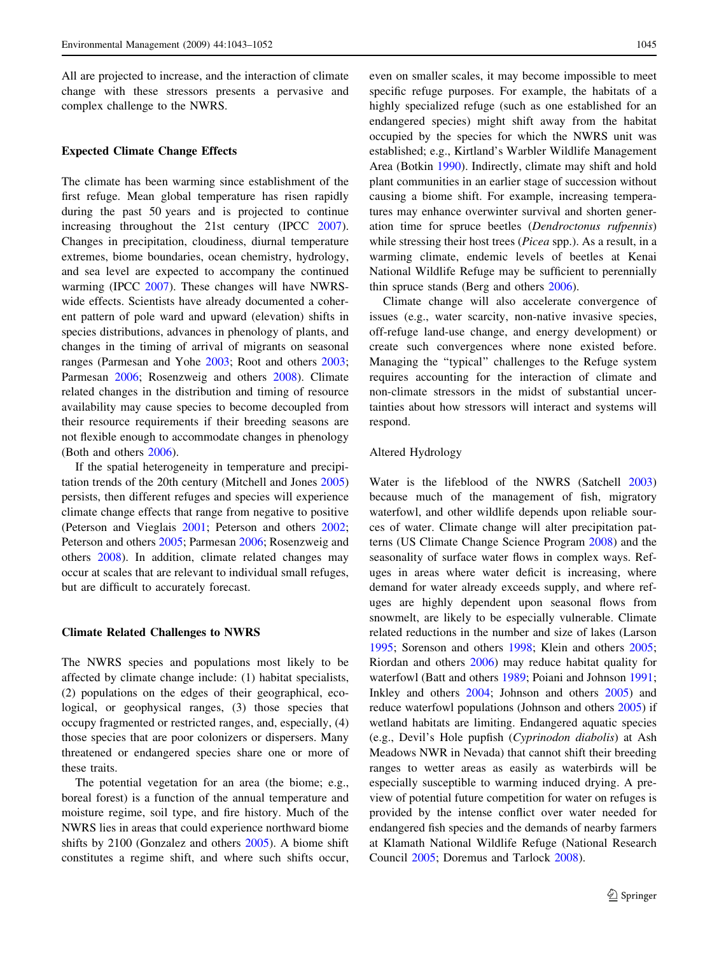All are projected to increase, and the interaction of climate change with these stressors presents a pervasive and complex challenge to the NWRS.

## Expected Climate Change Effects

The climate has been warming since establishment of the first refuge. Mean global temperature has risen rapidly during the past 50 years and is projected to continue increasing throughout the 21st century (IPCC [2007](#page-8-0)). Changes in precipitation, cloudiness, diurnal temperature extremes, biome boundaries, ocean chemistry, hydrology, and sea level are expected to accompany the continued warming (IPCC [2007](#page-8-0)). These changes will have NWRSwide effects. Scientists have already documented a coherent pattern of pole ward and upward (elevation) shifts in species distributions, advances in phenology of plants, and changes in the timing of arrival of migrants on seasonal ranges (Parmesan and Yohe [2003](#page-8-0); Root and others [2003](#page-9-0); Parmesan [2006](#page-8-0); Rosenzweig and others [2008](#page-9-0)). Climate related changes in the distribution and timing of resource availability may cause species to become decoupled from their resource requirements if their breeding seasons are not flexible enough to accommodate changes in phenology (Both and others [2006\)](#page-8-0).

If the spatial heterogeneity in temperature and precipitation trends of the 20th century (Mitchell and Jones [2005\)](#page-8-0) persists, then different refuges and species will experience climate change effects that range from negative to positive (Peterson and Vieglais [2001;](#page-8-0) Peterson and others [2002](#page-8-0); Peterson and others [2005;](#page-8-0) Parmesan [2006](#page-8-0); Rosenzweig and others [2008\)](#page-9-0). In addition, climate related changes may occur at scales that are relevant to individual small refuges, but are difficult to accurately forecast.

## Climate Related Challenges to NWRS

The NWRS species and populations most likely to be affected by climate change include: (1) habitat specialists, (2) populations on the edges of their geographical, ecological, or geophysical ranges, (3) those species that occupy fragmented or restricted ranges, and, especially, (4) those species that are poor colonizers or dispersers. Many threatened or endangered species share one or more of these traits.

The potential vegetation for an area (the biome; e.g., boreal forest) is a function of the annual temperature and moisture regime, soil type, and fire history. Much of the NWRS lies in areas that could experience northward biome shifts by 2100 (Gonzalez and others [2005](#page-8-0)). A biome shift constitutes a regime shift, and where such shifts occur, even on smaller scales, it may become impossible to meet specific refuge purposes. For example, the habitats of a highly specialized refuge (such as one established for an endangered species) might shift away from the habitat occupied by the species for which the NWRS unit was established; e.g., Kirtland's Warbler Wildlife Management Area (Botkin [1990](#page-8-0)). Indirectly, climate may shift and hold plant communities in an earlier stage of succession without causing a biome shift. For example, increasing temperatures may enhance overwinter survival and shorten generation time for spruce beetles (Dendroctonus rufpennis) while stressing their host trees *(Picea spp.)*. As a result, in a warming climate, endemic levels of beetles at Kenai National Wildlife Refuge may be sufficient to perennially thin spruce stands (Berg and others [2006](#page-8-0)).

Climate change will also accelerate convergence of issues (e.g., water scarcity, non-native invasive species, off-refuge land-use change, and energy development) or create such convergences where none existed before. Managing the ''typical'' challenges to the Refuge system requires accounting for the interaction of climate and non-climate stressors in the midst of substantial uncertainties about how stressors will interact and systems will respond.

# Altered Hydrology

Water is the lifeblood of the NWRS (Satchell [2003\)](#page-9-0) because much of the management of fish, migratory waterfowl, and other wildlife depends upon reliable sources of water. Climate change will alter precipitation patterns (US Climate Change Science Program [2008](#page-9-0)) and the seasonality of surface water flows in complex ways. Refuges in areas where water deficit is increasing, where demand for water already exceeds supply, and where refuges are highly dependent upon seasonal flows from snowmelt, are likely to be especially vulnerable. Climate related reductions in the number and size of lakes (Larson [1995](#page-8-0); Sorenson and others [1998](#page-9-0); Klein and others [2005](#page-8-0); Riordan and others [2006\)](#page-9-0) may reduce habitat quality for waterfowl (Batt and others [1989;](#page-8-0) Poiani and Johnson [1991](#page-8-0); Inkley and others [2004](#page-8-0); Johnson and others [2005](#page-8-0)) and reduce waterfowl populations (Johnson and others [2005\)](#page-8-0) if wetland habitats are limiting. Endangered aquatic species (e.g., Devil's Hole pupfish (Cyprinodon diabolis) at Ash Meadows NWR in Nevada) that cannot shift their breeding ranges to wetter areas as easily as waterbirds will be especially susceptible to warming induced drying. A preview of potential future competition for water on refuges is provided by the intense conflict over water needed for endangered fish species and the demands of nearby farmers at Klamath National Wildlife Refuge (National Research Council [2005](#page-8-0); Doremus and Tarlock [2008](#page-8-0)).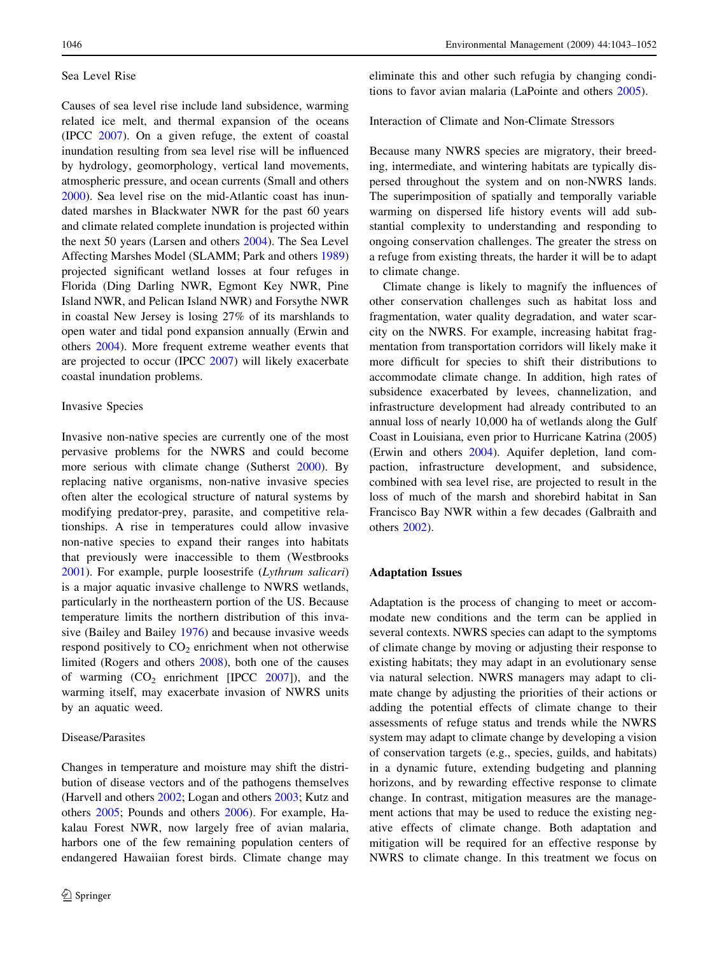#### Sea Level Rise

Causes of sea level rise include land subsidence, warming related ice melt, and thermal expansion of the oceans (IPCC [2007\)](#page-8-0). On a given refuge, the extent of coastal inundation resulting from sea level rise will be influenced by hydrology, geomorphology, vertical land movements, atmospheric pressure, and ocean currents (Small and others [2000\)](#page-9-0). Sea level rise on the mid-Atlantic coast has inundated marshes in Blackwater NWR for the past 60 years and climate related complete inundation is projected within the next 50 years (Larsen and others [2004\)](#page-8-0). The Sea Level Affecting Marshes Model (SLAMM; Park and others [1989\)](#page-8-0) projected significant wetland losses at four refuges in Florida (Ding Darling NWR, Egmont Key NWR, Pine Island NWR, and Pelican Island NWR) and Forsythe NWR in coastal New Jersey is losing 27% of its marshlands to open water and tidal pond expansion annually (Erwin and others [2004](#page-8-0)). More frequent extreme weather events that are projected to occur (IPCC [2007\)](#page-8-0) will likely exacerbate coastal inundation problems.

## Invasive Species

Invasive non-native species are currently one of the most pervasive problems for the NWRS and could become more serious with climate change (Sutherst [2000\)](#page-9-0). By replacing native organisms, non-native invasive species often alter the ecological structure of natural systems by modifying predator-prey, parasite, and competitive relationships. A rise in temperatures could allow invasive non-native species to expand their ranges into habitats that previously were inaccessible to them (Westbrooks [2001\)](#page-9-0). For example, purple loosestrife (Lythrum salicari) is a major aquatic invasive challenge to NWRS wetlands, particularly in the northeastern portion of the US. Because temperature limits the northern distribution of this invasive (Bailey and Bailey [1976](#page-7-0)) and because invasive weeds respond positively to  $CO<sub>2</sub>$  enrichment when not otherwise limited (Rogers and others [2008](#page-9-0)), both one of the causes of warming  $(CO_2$  enrichment [IPCC [2007\]](#page-8-0)), and the warming itself, may exacerbate invasion of NWRS units by an aquatic weed.

# Disease/Parasites

Changes in temperature and moisture may shift the distribution of disease vectors and of the pathogens themselves (Harvell and others [2002;](#page-8-0) Logan and others [2003;](#page-8-0) Kutz and others [2005](#page-8-0); Pounds and others [2006](#page-8-0)). For example, Hakalau Forest NWR, now largely free of avian malaria, harbors one of the few remaining population centers of endangered Hawaiian forest birds. Climate change may eliminate this and other such refugia by changing conditions to favor avian malaria (LaPointe and others [2005](#page-8-0)).

Interaction of Climate and Non-Climate Stressors

Because many NWRS species are migratory, their breeding, intermediate, and wintering habitats are typically dispersed throughout the system and on non-NWRS lands. The superimposition of spatially and temporally variable warming on dispersed life history events will add substantial complexity to understanding and responding to ongoing conservation challenges. The greater the stress on a refuge from existing threats, the harder it will be to adapt to climate change.

Climate change is likely to magnify the influences of other conservation challenges such as habitat loss and fragmentation, water quality degradation, and water scarcity on the NWRS. For example, increasing habitat fragmentation from transportation corridors will likely make it more difficult for species to shift their distributions to accommodate climate change. In addition, high rates of subsidence exacerbated by levees, channelization, and infrastructure development had already contributed to an annual loss of nearly 10,000 ha of wetlands along the Gulf Coast in Louisiana, even prior to Hurricane Katrina (2005) (Erwin and others [2004\)](#page-8-0). Aquifer depletion, land compaction, infrastructure development, and subsidence, combined with sea level rise, are projected to result in the loss of much of the marsh and shorebird habitat in San Francisco Bay NWR within a few decades (Galbraith and others [2002\)](#page-8-0).

## Adaptation Issues

Adaptation is the process of changing to meet or accommodate new conditions and the term can be applied in several contexts. NWRS species can adapt to the symptoms of climate change by moving or adjusting their response to existing habitats; they may adapt in an evolutionary sense via natural selection. NWRS managers may adapt to climate change by adjusting the priorities of their actions or adding the potential effects of climate change to their assessments of refuge status and trends while the NWRS system may adapt to climate change by developing a vision of conservation targets (e.g., species, guilds, and habitats) in a dynamic future, extending budgeting and planning horizons, and by rewarding effective response to climate change. In contrast, mitigation measures are the management actions that may be used to reduce the existing negative effects of climate change. Both adaptation and mitigation will be required for an effective response by NWRS to climate change. In this treatment we focus on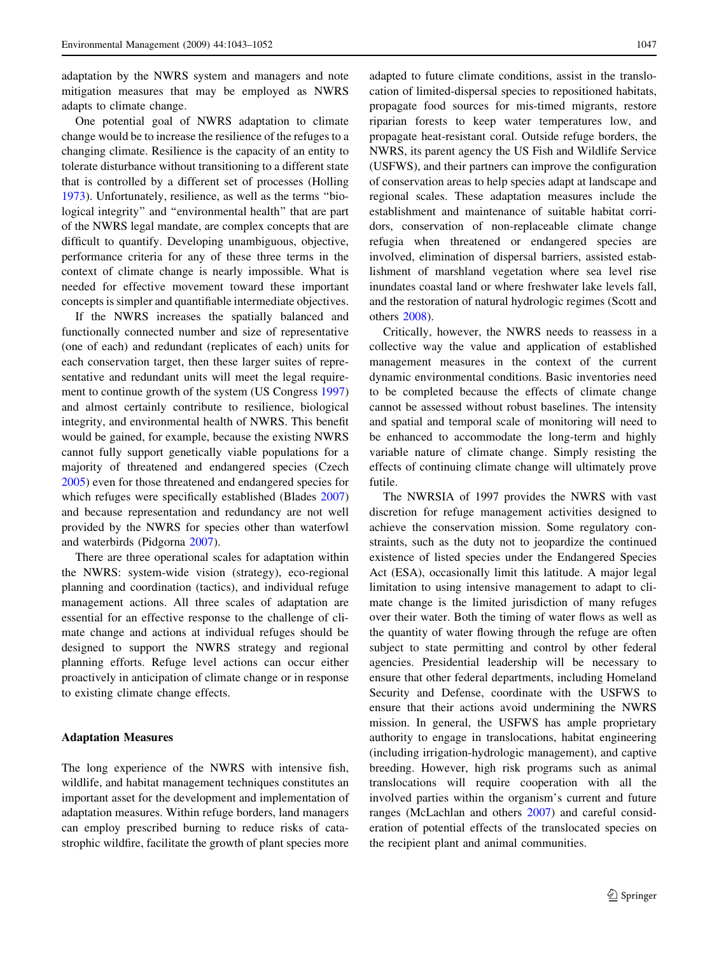adaptation by the NWRS system and managers and note mitigation measures that may be employed as NWRS adapts to climate change.

One potential goal of NWRS adaptation to climate change would be to increase the resilience of the refuges to a changing climate. Resilience is the capacity of an entity to tolerate disturbance without transitioning to a different state that is controlled by a different set of processes (Holling [1973\)](#page-8-0). Unfortunately, resilience, as well as the terms ''biological integrity'' and ''environmental health'' that are part of the NWRS legal mandate, are complex concepts that are difficult to quantify. Developing unambiguous, objective, performance criteria for any of these three terms in the context of climate change is nearly impossible. What is needed for effective movement toward these important concepts is simpler and quantifiable intermediate objectives.

If the NWRS increases the spatially balanced and functionally connected number and size of representative (one of each) and redundant (replicates of each) units for each conservation target, then these larger suites of representative and redundant units will meet the legal requirement to continue growth of the system (US Congress [1997\)](#page-9-0) and almost certainly contribute to resilience, biological integrity, and environmental health of NWRS. This benefit would be gained, for example, because the existing NWRS cannot fully support genetically viable populations for a majority of threatened and endangered species (Czech [2005\)](#page-8-0) even for those threatened and endangered species for which refuges were specifically established (Blades [2007\)](#page-8-0) and because representation and redundancy are not well provided by the NWRS for species other than waterfowl and waterbirds (Pidgorna [2007](#page-8-0)).

There are three operational scales for adaptation within the NWRS: system-wide vision (strategy), eco-regional planning and coordination (tactics), and individual refuge management actions. All three scales of adaptation are essential for an effective response to the challenge of climate change and actions at individual refuges should be designed to support the NWRS strategy and regional planning efforts. Refuge level actions can occur either proactively in anticipation of climate change or in response to existing climate change effects.

#### Adaptation Measures

The long experience of the NWRS with intensive fish, wildlife, and habitat management techniques constitutes an important asset for the development and implementation of adaptation measures. Within refuge borders, land managers can employ prescribed burning to reduce risks of catastrophic wildfire, facilitate the growth of plant species more

adapted to future climate conditions, assist in the translocation of limited-dispersal species to repositioned habitats, propagate food sources for mis-timed migrants, restore riparian forests to keep water temperatures low, and propagate heat-resistant coral. Outside refuge borders, the NWRS, its parent agency the US Fish and Wildlife Service (USFWS), and their partners can improve the configuration of conservation areas to help species adapt at landscape and regional scales. These adaptation measures include the establishment and maintenance of suitable habitat corridors, conservation of non-replaceable climate change refugia when threatened or endangered species are involved, elimination of dispersal barriers, assisted establishment of marshland vegetation where sea level rise inundates coastal land or where freshwater lake levels fall, and the restoration of natural hydrologic regimes (Scott and others [2008\)](#page-9-0).

Critically, however, the NWRS needs to reassess in a collective way the value and application of established management measures in the context of the current dynamic environmental conditions. Basic inventories need to be completed because the effects of climate change cannot be assessed without robust baselines. The intensity and spatial and temporal scale of monitoring will need to be enhanced to accommodate the long-term and highly variable nature of climate change. Simply resisting the effects of continuing climate change will ultimately prove futile.

The NWRSIA of 1997 provides the NWRS with vast discretion for refuge management activities designed to achieve the conservation mission. Some regulatory constraints, such as the duty not to jeopardize the continued existence of listed species under the Endangered Species Act (ESA), occasionally limit this latitude. A major legal limitation to using intensive management to adapt to climate change is the limited jurisdiction of many refuges over their water. Both the timing of water flows as well as the quantity of water flowing through the refuge are often subject to state permitting and control by other federal agencies. Presidential leadership will be necessary to ensure that other federal departments, including Homeland Security and Defense, coordinate with the USFWS to ensure that their actions avoid undermining the NWRS mission. In general, the USFWS has ample proprietary authority to engage in translocations, habitat engineering (including irrigation-hydrologic management), and captive breeding. However, high risk programs such as animal translocations will require cooperation with all the involved parties within the organism's current and future ranges (McLachlan and others [2007\)](#page-8-0) and careful consideration of potential effects of the translocated species on the recipient plant and animal communities.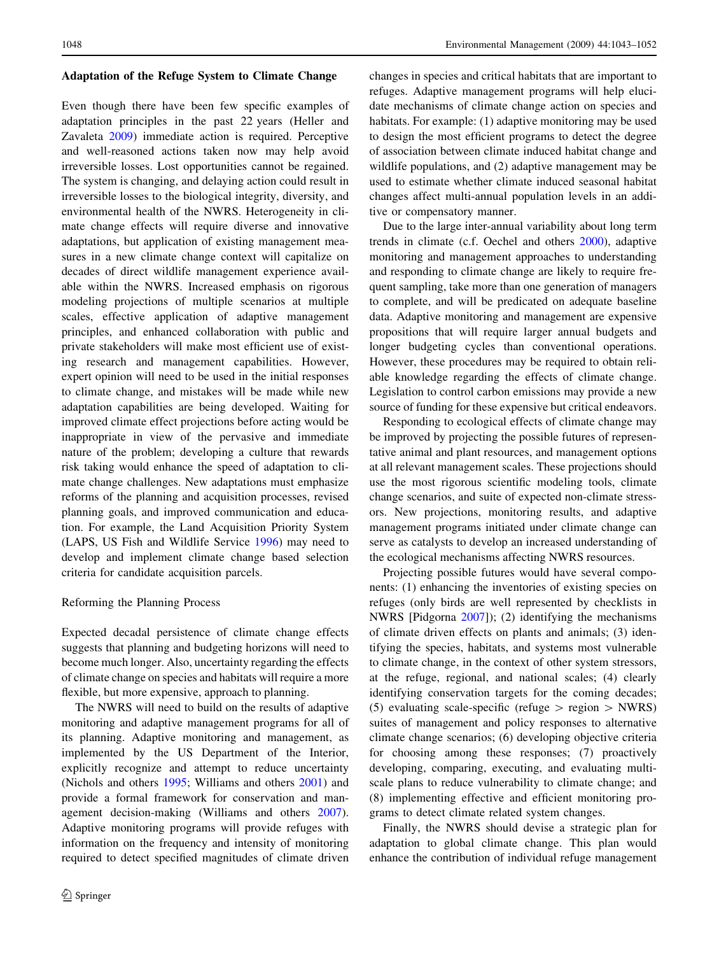#### Adaptation of the Refuge System to Climate Change

Even though there have been few specific examples of adaptation principles in the past 22 years (Heller and Zavaleta [2009](#page-8-0)) immediate action is required. Perceptive and well-reasoned actions taken now may help avoid irreversible losses. Lost opportunities cannot be regained. The system is changing, and delaying action could result in irreversible losses to the biological integrity, diversity, and environmental health of the NWRS. Heterogeneity in climate change effects will require diverse and innovative adaptations, but application of existing management measures in a new climate change context will capitalize on decades of direct wildlife management experience available within the NWRS. Increased emphasis on rigorous modeling projections of multiple scenarios at multiple scales, effective application of adaptive management principles, and enhanced collaboration with public and private stakeholders will make most efficient use of existing research and management capabilities. However, expert opinion will need to be used in the initial responses to climate change, and mistakes will be made while new adaptation capabilities are being developed. Waiting for improved climate effect projections before acting would be inappropriate in view of the pervasive and immediate nature of the problem; developing a culture that rewards risk taking would enhance the speed of adaptation to climate change challenges. New adaptations must emphasize reforms of the planning and acquisition processes, revised planning goals, and improved communication and education. For example, the Land Acquisition Priority System (LAPS, US Fish and Wildlife Service [1996\)](#page-9-0) may need to develop and implement climate change based selection criteria for candidate acquisition parcels.

## Reforming the Planning Process

Expected decadal persistence of climate change effects suggests that planning and budgeting horizons will need to become much longer. Also, uncertainty regarding the effects of climate change on species and habitats will require a more flexible, but more expensive, approach to planning.

The NWRS will need to build on the results of adaptive monitoring and adaptive management programs for all of its planning. Adaptive monitoring and management, as implemented by the US Department of the Interior, explicitly recognize and attempt to reduce uncertainty (Nichols and others [1995;](#page-8-0) Williams and others [2001\)](#page-9-0) and provide a formal framework for conservation and management decision-making (Williams and others [2007](#page-9-0)). Adaptive monitoring programs will provide refuges with information on the frequency and intensity of monitoring required to detect specified magnitudes of climate driven changes in species and critical habitats that are important to refuges. Adaptive management programs will help elucidate mechanisms of climate change action on species and habitats. For example: (1) adaptive monitoring may be used to design the most efficient programs to detect the degree of association between climate induced habitat change and wildlife populations, and (2) adaptive management may be used to estimate whether climate induced seasonal habitat changes affect multi-annual population levels in an additive or compensatory manner.

Due to the large inter-annual variability about long term trends in climate (c.f. Oechel and others [2000](#page-8-0)), adaptive monitoring and management approaches to understanding and responding to climate change are likely to require frequent sampling, take more than one generation of managers to complete, and will be predicated on adequate baseline data. Adaptive monitoring and management are expensive propositions that will require larger annual budgets and longer budgeting cycles than conventional operations. However, these procedures may be required to obtain reliable knowledge regarding the effects of climate change. Legislation to control carbon emissions may provide a new source of funding for these expensive but critical endeavors.

Responding to ecological effects of climate change may be improved by projecting the possible futures of representative animal and plant resources, and management options at all relevant management scales. These projections should use the most rigorous scientific modeling tools, climate change scenarios, and suite of expected non-climate stressors. New projections, monitoring results, and adaptive management programs initiated under climate change can serve as catalysts to develop an increased understanding of the ecological mechanisms affecting NWRS resources.

Projecting possible futures would have several components: (1) enhancing the inventories of existing species on refuges (only birds are well represented by checklists in NWRS [Pidgorna [2007](#page-8-0)]); (2) identifying the mechanisms of climate driven effects on plants and animals; (3) identifying the species, habitats, and systems most vulnerable to climate change, in the context of other system stressors, at the refuge, regional, and national scales; (4) clearly identifying conservation targets for the coming decades; (5) evaluating scale-specific (refuge  $>$  region  $>$  NWRS) suites of management and policy responses to alternative climate change scenarios; (6) developing objective criteria for choosing among these responses; (7) proactively developing, comparing, executing, and evaluating multiscale plans to reduce vulnerability to climate change; and (8) implementing effective and efficient monitoring programs to detect climate related system changes.

Finally, the NWRS should devise a strategic plan for adaptation to global climate change. This plan would enhance the contribution of individual refuge management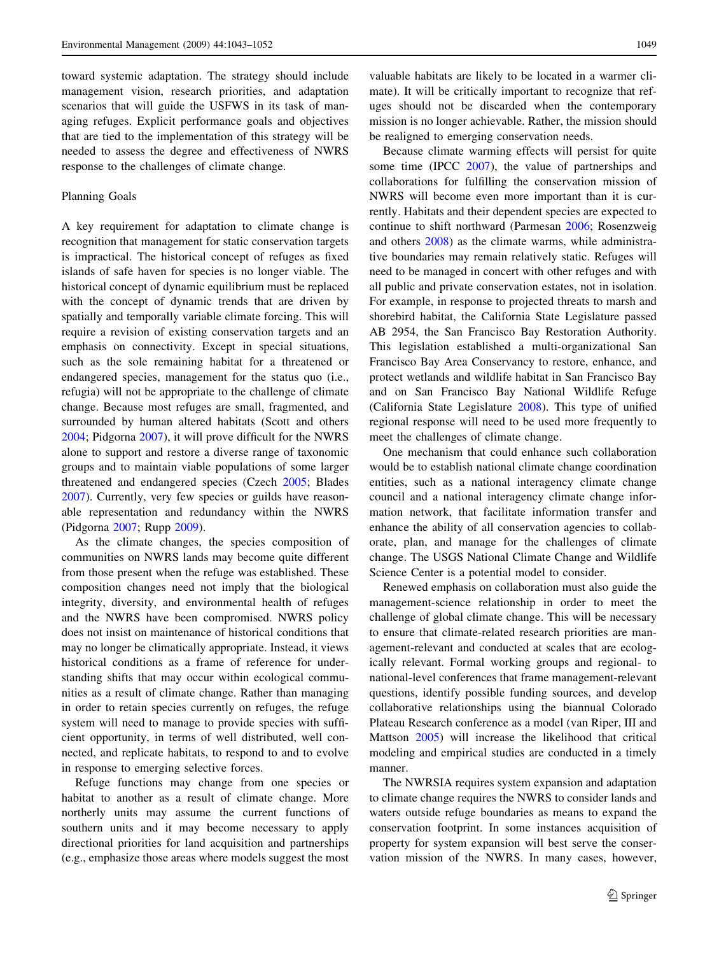toward systemic adaptation. The strategy should include management vision, research priorities, and adaptation scenarios that will guide the USFWS in its task of managing refuges. Explicit performance goals and objectives that are tied to the implementation of this strategy will be needed to assess the degree and effectiveness of NWRS response to the challenges of climate change.

#### Planning Goals

A key requirement for adaptation to climate change is recognition that management for static conservation targets is impractical. The historical concept of refuges as fixed islands of safe haven for species is no longer viable. The historical concept of dynamic equilibrium must be replaced with the concept of dynamic trends that are driven by spatially and temporally variable climate forcing. This will require a revision of existing conservation targets and an emphasis on connectivity. Except in special situations, such as the sole remaining habitat for a threatened or endangered species, management for the status quo (i.e., refugia) will not be appropriate to the challenge of climate change. Because most refuges are small, fragmented, and surrounded by human altered habitats (Scott and others [2004;](#page-9-0) Pidgorna [2007](#page-8-0)), it will prove difficult for the NWRS alone to support and restore a diverse range of taxonomic groups and to maintain viable populations of some larger threatened and endangered species (Czech [2005](#page-8-0); Blades [2007\)](#page-8-0). Currently, very few species or guilds have reasonable representation and redundancy within the NWRS (Pidgorna [2007;](#page-8-0) Rupp [2009\)](#page-9-0).

As the climate changes, the species composition of communities on NWRS lands may become quite different from those present when the refuge was established. These composition changes need not imply that the biological integrity, diversity, and environmental health of refuges and the NWRS have been compromised. NWRS policy does not insist on maintenance of historical conditions that may no longer be climatically appropriate. Instead, it views historical conditions as a frame of reference for understanding shifts that may occur within ecological communities as a result of climate change. Rather than managing in order to retain species currently on refuges, the refuge system will need to manage to provide species with sufficient opportunity, in terms of well distributed, well connected, and replicate habitats, to respond to and to evolve in response to emerging selective forces.

Refuge functions may change from one species or habitat to another as a result of climate change. More northerly units may assume the current functions of southern units and it may become necessary to apply directional priorities for land acquisition and partnerships (e.g., emphasize those areas where models suggest the most

valuable habitats are likely to be located in a warmer climate). It will be critically important to recognize that refuges should not be discarded when the contemporary mission is no longer achievable. Rather, the mission should be realigned to emerging conservation needs.

Because climate warming effects will persist for quite some time (IPCC [2007](#page-8-0)), the value of partnerships and collaborations for fulfilling the conservation mission of NWRS will become even more important than it is currently. Habitats and their dependent species are expected to continue to shift northward (Parmesan [2006;](#page-8-0) Rosenzweig and others [2008](#page-9-0)) as the climate warms, while administrative boundaries may remain relatively static. Refuges will need to be managed in concert with other refuges and with all public and private conservation estates, not in isolation. For example, in response to projected threats to marsh and shorebird habitat, the California State Legislature passed AB 2954, the San Francisco Bay Restoration Authority. This legislation established a multi-organizational San Francisco Bay Area Conservancy to restore, enhance, and protect wetlands and wildlife habitat in San Francisco Bay and on San Francisco Bay National Wildlife Refuge (California State Legislature [2008](#page-8-0)). This type of unified regional response will need to be used more frequently to meet the challenges of climate change.

One mechanism that could enhance such collaboration would be to establish national climate change coordination entities, such as a national interagency climate change council and a national interagency climate change information network, that facilitate information transfer and enhance the ability of all conservation agencies to collaborate, plan, and manage for the challenges of climate change. The USGS National Climate Change and Wildlife Science Center is a potential model to consider.

Renewed emphasis on collaboration must also guide the management-science relationship in order to meet the challenge of global climate change. This will be necessary to ensure that climate-related research priorities are management-relevant and conducted at scales that are ecologically relevant. Formal working groups and regional- to national-level conferences that frame management-relevant questions, identify possible funding sources, and develop collaborative relationships using the biannual Colorado Plateau Research conference as a model (van Riper, III and Mattson [2005](#page-9-0)) will increase the likelihood that critical modeling and empirical studies are conducted in a timely manner.

The NWRSIA requires system expansion and adaptation to climate change requires the NWRS to consider lands and waters outside refuge boundaries as means to expand the conservation footprint. In some instances acquisition of property for system expansion will best serve the conservation mission of the NWRS. In many cases, however,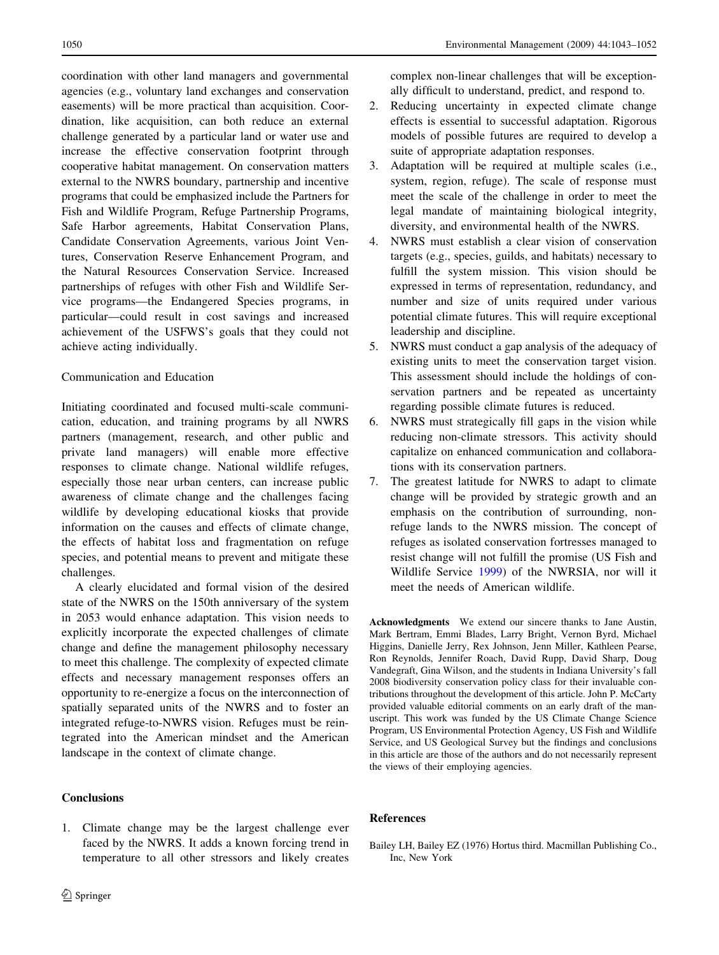<span id="page-7-0"></span>coordination with other land managers and governmental agencies (e.g., voluntary land exchanges and conservation easements) will be more practical than acquisition. Coordination, like acquisition, can both reduce an external challenge generated by a particular land or water use and increase the effective conservation footprint through cooperative habitat management. On conservation matters external to the NWRS boundary, partnership and incentive programs that could be emphasized include the Partners for Fish and Wildlife Program, Refuge Partnership Programs, Safe Harbor agreements, Habitat Conservation Plans, Candidate Conservation Agreements, various Joint Ventures, Conservation Reserve Enhancement Program, and the Natural Resources Conservation Service. Increased partnerships of refuges with other Fish and Wildlife Service programs—the Endangered Species programs, in particular—could result in cost savings and increased achievement of the USFWS's goals that they could not achieve acting individually.

# Communication and Education

Initiating coordinated and focused multi-scale communication, education, and training programs by all NWRS partners (management, research, and other public and private land managers) will enable more effective responses to climate change. National wildlife refuges, especially those near urban centers, can increase public awareness of climate change and the challenges facing wildlife by developing educational kiosks that provide information on the causes and effects of climate change, the effects of habitat loss and fragmentation on refuge species, and potential means to prevent and mitigate these challenges.

A clearly elucidated and formal vision of the desired state of the NWRS on the 150th anniversary of the system in 2053 would enhance adaptation. This vision needs to explicitly incorporate the expected challenges of climate change and define the management philosophy necessary to meet this challenge. The complexity of expected climate effects and necessary management responses offers an opportunity to re-energize a focus on the interconnection of spatially separated units of the NWRS and to foster an integrated refuge-to-NWRS vision. Refuges must be reintegrated into the American mindset and the American landscape in the context of climate change.

# **Conclusions**

1. Climate change may be the largest challenge ever faced by the NWRS. It adds a known forcing trend in temperature to all other stressors and likely creates complex non-linear challenges that will be exceptionally difficult to understand, predict, and respond to.

- 2. Reducing uncertainty in expected climate change effects is essential to successful adaptation. Rigorous models of possible futures are required to develop a suite of appropriate adaptation responses.
- 3. Adaptation will be required at multiple scales (i.e., system, region, refuge). The scale of response must meet the scale of the challenge in order to meet the legal mandate of maintaining biological integrity, diversity, and environmental health of the NWRS.
- 4. NWRS must establish a clear vision of conservation targets (e.g., species, guilds, and habitats) necessary to fulfill the system mission. This vision should be expressed in terms of representation, redundancy, and number and size of units required under various potential climate futures. This will require exceptional leadership and discipline.
- 5. NWRS must conduct a gap analysis of the adequacy of existing units to meet the conservation target vision. This assessment should include the holdings of conservation partners and be repeated as uncertainty regarding possible climate futures is reduced.
- 6. NWRS must strategically fill gaps in the vision while reducing non-climate stressors. This activity should capitalize on enhanced communication and collaborations with its conservation partners.
- 7. The greatest latitude for NWRS to adapt to climate change will be provided by strategic growth and an emphasis on the contribution of surrounding, nonrefuge lands to the NWRS mission. The concept of refuges as isolated conservation fortresses managed to resist change will not fulfill the promise (US Fish and Wildlife Service [1999](#page-9-0)) of the NWRSIA, nor will it meet the needs of American wildlife.

Acknowledgments We extend our sincere thanks to Jane Austin, Mark Bertram, Emmi Blades, Larry Bright, Vernon Byrd, Michael Higgins, Danielle Jerry, Rex Johnson, Jenn Miller, Kathleen Pearse, Ron Reynolds, Jennifer Roach, David Rupp, David Sharp, Doug Vandegraft, Gina Wilson, and the students in Indiana University's fall 2008 biodiversity conservation policy class for their invaluable contributions throughout the development of this article. John P. McCarty provided valuable editorial comments on an early draft of the manuscript. This work was funded by the US Climate Change Science Program, US Environmental Protection Agency, US Fish and Wildlife Service, and US Geological Survey but the findings and conclusions in this article are those of the authors and do not necessarily represent the views of their employing agencies.

#### References

Bailey LH, Bailey EZ (1976) Hortus third. Macmillan Publishing Co., Inc, New York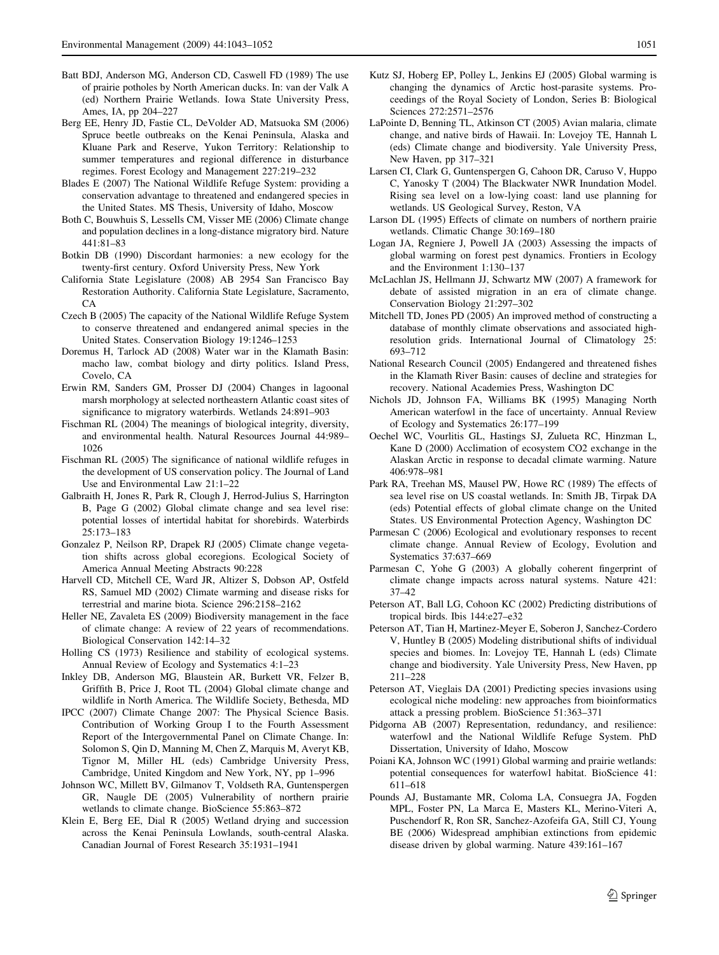- <span id="page-8-0"></span>Batt BDJ, Anderson MG, Anderson CD, Caswell FD (1989) The use of prairie potholes by North American ducks. In: van der Valk A (ed) Northern Prairie Wetlands. Iowa State University Press, Ames, IA, pp 204–227
- Berg EE, Henry JD, Fastie CL, DeVolder AD, Matsuoka SM (2006) Spruce beetle outbreaks on the Kenai Peninsula, Alaska and Kluane Park and Reserve, Yukon Territory: Relationship to summer temperatures and regional difference in disturbance regimes. Forest Ecology and Management 227:219–232
- Blades E (2007) The National Wildlife Refuge System: providing a conservation advantage to threatened and endangered species in the United States. MS Thesis, University of Idaho, Moscow
- Both C, Bouwhuis S, Lessells CM, Visser ME (2006) Climate change and population declines in a long-distance migratory bird. Nature 441:81–83
- Botkin DB (1990) Discordant harmonies: a new ecology for the twenty-first century. Oxford University Press, New York
- California State Legislature (2008) AB 2954 San Francisco Bay Restoration Authority. California State Legislature, Sacramento, CA
- Czech B (2005) The capacity of the National Wildlife Refuge System to conserve threatened and endangered animal species in the United States. Conservation Biology 19:1246–1253
- Doremus H, Tarlock AD (2008) Water war in the Klamath Basin: macho law, combat biology and dirty politics. Island Press, Covelo, CA
- Erwin RM, Sanders GM, Prosser DJ (2004) Changes in lagoonal marsh morphology at selected northeastern Atlantic coast sites of significance to migratory waterbirds. Wetlands 24:891–903
- Fischman RL (2004) The meanings of biological integrity, diversity, and environmental health. Natural Resources Journal 44:989– 1026
- Fischman RL (2005) The significance of national wildlife refuges in the development of US conservation policy. The Journal of Land Use and Environmental Law 21:1–22
- Galbraith H, Jones R, Park R, Clough J, Herrod-Julius S, Harrington B, Page G (2002) Global climate change and sea level rise: potential losses of intertidal habitat for shorebirds. Waterbirds 25:173–183
- Gonzalez P, Neilson RP, Drapek RJ (2005) Climate change vegetation shifts across global ecoregions. Ecological Society of America Annual Meeting Abstracts 90:228
- Harvell CD, Mitchell CE, Ward JR, Altizer S, Dobson AP, Ostfeld RS, Samuel MD (2002) Climate warming and disease risks for terrestrial and marine biota. Science 296:2158–2162
- Heller NE, Zavaleta ES (2009) Biodiversity management in the face of climate change: A review of 22 years of recommendations. Biological Conservation 142:14–32
- Holling CS (1973) Resilience and stability of ecological systems. Annual Review of Ecology and Systematics 4:1–23
- Inkley DB, Anderson MG, Blaustein AR, Burkett VR, Felzer B, Griffith B, Price J, Root TL (2004) Global climate change and wildlife in North America. The Wildlife Society, Bethesda, MD
- IPCC (2007) Climate Change 2007: The Physical Science Basis. Contribution of Working Group I to the Fourth Assessment Report of the Intergovernmental Panel on Climate Change. In: Solomon S, Qin D, Manning M, Chen Z, Marquis M, Averyt KB, Tignor M, Miller HL (eds) Cambridge University Press, Cambridge, United Kingdom and New York, NY, pp 1–996
- Johnson WC, Millett BV, Gilmanov T, Voldseth RA, Guntenspergen GR, Naugle DE (2005) Vulnerability of northern prairie wetlands to climate change. BioScience 55:863–872
- Klein E, Berg EE, Dial R (2005) Wetland drying and succession across the Kenai Peninsula Lowlands, south-central Alaska. Canadian Journal of Forest Research 35:1931–1941
- Kutz SJ, Hoberg EP, Polley L, Jenkins EJ (2005) Global warming is changing the dynamics of Arctic host-parasite systems. Proceedings of the Royal Society of London, Series B: Biological Sciences 272:2571–2576
- LaPointe D, Benning TL, Atkinson CT (2005) Avian malaria, climate change, and native birds of Hawaii. In: Lovejoy TE, Hannah L (eds) Climate change and biodiversity. Yale University Press, New Haven, pp 317–321
- Larsen CI, Clark G, Guntenspergen G, Cahoon DR, Caruso V, Huppo C, Yanosky T (2004) The Blackwater NWR Inundation Model. Rising sea level on a low-lying coast: land use planning for wetlands. US Geological Survey, Reston, VA
- Larson DL (1995) Effects of climate on numbers of northern prairie wetlands. Climatic Change 30:169–180
- Logan JA, Regniere J, Powell JA (2003) Assessing the impacts of global warming on forest pest dynamics. Frontiers in Ecology and the Environment 1:130–137
- McLachlan JS, Hellmann JJ, Schwartz MW (2007) A framework for debate of assisted migration in an era of climate change. Conservation Biology 21:297–302
- Mitchell TD, Jones PD (2005) An improved method of constructing a database of monthly climate observations and associated highresolution grids. International Journal of Climatology 25: 693–712
- National Research Council (2005) Endangered and threatened fishes in the Klamath River Basin: causes of decline and strategies for recovery. National Academies Press, Washington DC
- Nichols JD, Johnson FA, Williams BK (1995) Managing North American waterfowl in the face of uncertainty. Annual Review of Ecology and Systematics 26:177–199
- Oechel WC, Vourlitis GL, Hastings SJ, Zulueta RC, Hinzman L, Kane D (2000) Acclimation of ecosystem CO2 exchange in the Alaskan Arctic in response to decadal climate warming. Nature 406:978–981
- Park RA, Treehan MS, Mausel PW, Howe RC (1989) The effects of sea level rise on US coastal wetlands. In: Smith JB, Tirpak DA (eds) Potential effects of global climate change on the United States. US Environmental Protection Agency, Washington DC
- Parmesan C (2006) Ecological and evolutionary responses to recent climate change. Annual Review of Ecology, Evolution and Systematics 37:637–669
- Parmesan C, Yohe G (2003) A globally coherent fingerprint of climate change impacts across natural systems. Nature 421: 37–42
- Peterson AT, Ball LG, Cohoon KC (2002) Predicting distributions of tropical birds. Ibis 144:e27–e32
- Peterson AT, Tian H, Martinez-Meyer E, Soberon J, Sanchez-Cordero V, Huntley B (2005) Modeling distributional shifts of individual species and biomes. In: Lovejoy TE, Hannah L (eds) Climate change and biodiversity. Yale University Press, New Haven, pp 211–228
- Peterson AT, Vieglais DA (2001) Predicting species invasions using ecological niche modeling: new approaches from bioinformatics attack a pressing problem. BioScience 51:363–371
- Pidgorna AB (2007) Representation, redundancy, and resilience: waterfowl and the National Wildlife Refuge System. PhD Dissertation, University of Idaho, Moscow
- Poiani KA, Johnson WC (1991) Global warming and prairie wetlands: potential consequences for waterfowl habitat. BioScience 41: 611–618
- Pounds AJ, Bustamante MR, Coloma LA, Consuegra JA, Fogden MPL, Foster PN, La Marca E, Masters KL, Merino-Viteri A, Puschendorf R, Ron SR, Sanchez-Azofeifa GA, Still CJ, Young BE (2006) Widespread amphibian extinctions from epidemic disease driven by global warming. Nature 439:161–167